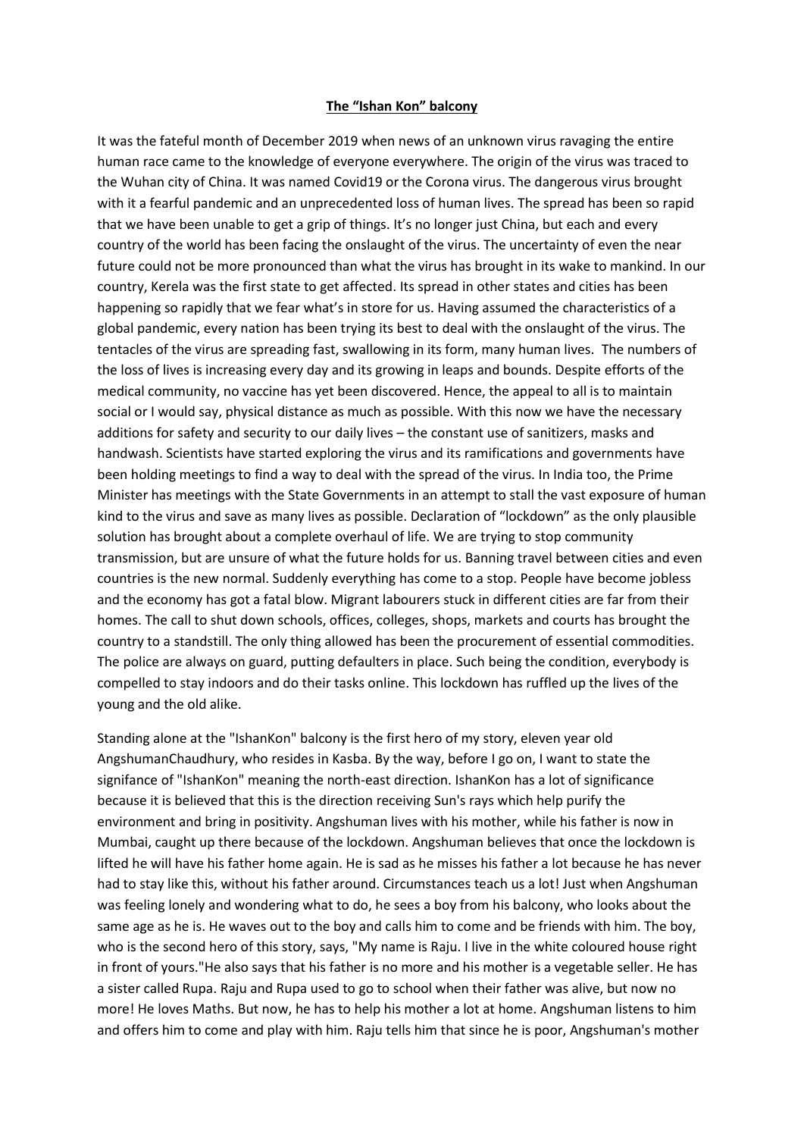## **The "Ishan Kon" balcony**

It was the fateful month of December 2019 when news of an unknown virus ravaging the entire human race came to the knowledge of everyone everywhere. The origin of the virus was traced to the Wuhan city of China. It was named Covid19 or the Corona virus. The dangerous virus brought with it a fearful pandemic and an unprecedented loss of human lives. The spread has been so rapid that we have been unable to get a grip of things. It's no longer just China, but each and every country of the world has been facing the onslaught of the virus. The uncertainty of even the near future could not be more pronounced than what the virus has brought in its wake to mankind. In our country, Kerela was the first state to get affected. Its spread in other states and cities has been happening so rapidly that we fear what's in store for us. Having assumed the characteristics of a global pandemic, every nation has been trying its best to deal with the onslaught of the virus. The tentacles of the virus are spreading fast, swallowing in its form, many human lives. The numbers of the loss of lives is increasing every day and its growing in leaps and bounds. Despite efforts of the medical community, no vaccine has yet been discovered. Hence, the appeal to all is to maintain social or I would say, physical distance as much as possible. With this now we have the necessary additions for safety and security to our daily lives – the constant use of sanitizers, masks and handwash. Scientists have started exploring the virus and its ramifications and governments have been holding meetings to find a way to deal with the spread of the virus. In India too, the Prime Minister has meetings with the State Governments in an attempt to stall the vast exposure of human kind to the virus and save as many lives as possible. Declaration of "lockdown" as the only plausible solution has brought about a complete overhaul of life. We are trying to stop community transmission, but are unsure of what the future holds for us. Banning travel between cities and even countries is the new normal. Suddenly everything has come to a stop. People have become jobless and the economy has got a fatal blow. Migrant labourers stuck in different cities are far from their homes. The call to shut down schools, offices, colleges, shops, markets and courts has brought the country to a standstill. The only thing allowed has been the procurement of essential commodities. The police are always on guard, putting defaulters in place. Such being the condition, everybody is compelled to stay indoors and do their tasks online. This lockdown has ruffled up the lives of the young and the old alike.

Standing alone at the "IshanKon" balcony is the first hero of my story, eleven year old AngshumanChaudhury, who resides in Kasba. By the way, before I go on, I want to state the signifance of "IshanKon" meaning the north-east direction. IshanKon has a lot of significance because it is believed that this is the direction receiving Sun's rays which help purify the environment and bring in positivity. Angshuman lives with his mother, while his father is now in Mumbai, caught up there because of the lockdown. Angshuman believes that once the lockdown is lifted he will have his father home again. He is sad as he misses his father a lot because he has never had to stay like this, without his father around. Circumstances teach us a lot! Just when Angshuman was feeling lonely and wondering what to do, he sees a boy from his balcony, who looks about the same age as he is. He waves out to the boy and calls him to come and be friends with him. The boy, who is the second hero of this story, says, "My name is Raju. I live in the white coloured house right in front of yours."He also says that his father is no more and his mother is a vegetable seller. He has a sister called Rupa. Raju and Rupa used to go to school when their father was alive, but now no more! He loves Maths. But now, he has to help his mother a lot at home. Angshuman listens to him and offers him to come and play with him. Raju tells him that since he is poor, Angshuman's mother